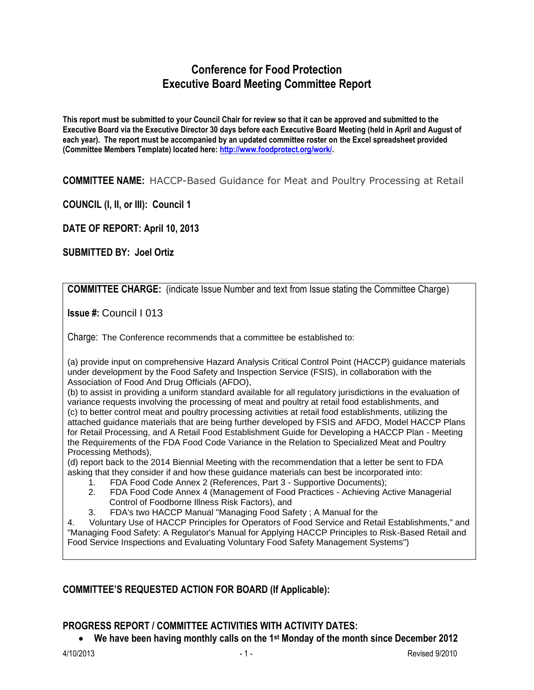## **Conference for Food Protection Executive Board Meeting Committee Report**

**This report must be submitted to your Council Chair for review so that it can be approved and submitted to the Executive Board via the Executive Director 30 days before each Executive Board Meeting (held in April and August of each year). The report must be accompanied by an updated committee roster on the Excel spreadsheet provided (Committee Members Template) located here: [http://www.foodprotect.org/work/.](http://www.foodprotect.org/work/)**

**COMMITTEE NAME:** HACCP-Based Guidance for Meat and Poultry Processing at Retail

**COUNCIL (I, II, or III): Council 1**

**DATE OF REPORT: April 10, 2013**

**SUBMITTED BY: Joel Ortiz**

**COMMITTEE CHARGE:** (indicate Issue Number and text from Issue stating the Committee Charge)

**Issue #:** Council I 013

Charge: The Conference recommends that a committee be established to:

(a) provide input on comprehensive Hazard Analysis Critical Control Point (HACCP) guidance materials under development by the Food Safety and Inspection Service (FSIS), in collaboration with the Association of Food And Drug Officials (AFDO),

(b) to assist in providing a uniform standard available for all regulatory jurisdictions in the evaluation of variance requests involving the processing of meat and poultry at retail food establishments, and (c) to better control meat and poultry processing activities at retail food establishments, utilizing the attached guidance materials that are being further developed by FSIS and AFDO, Model HACCP Plans for Retail Processing, and A Retail Food Establishment Guide for Developing a HACCP Plan - Meeting the Requirements of the FDA Food Code Variance in the Relation to Specialized Meat and Poultry Processing Methods),

(d) report back to the 2014 Biennial Meeting with the recommendation that a letter be sent to FDA asking that they consider if and how these guidance materials can best be incorporated into:

- 1. FDA Food Code Annex 2 (References, Part 3 Supportive Documents);
- 2. FDA Food Code Annex 4 (Management of Food Practices Achieving Active Managerial Control of Foodborne Illness Risk Factors), and
- 3. FDA's two HACCP Manual "Managing Food Safety ; A Manual for the

4. Voluntary Use of HACCP Principles for Operators of Food Service and Retail Establishments," and "Managing Food Safety: A Regulator's Manual for Applying HACCP Principles to Risk-Based Retail and Food Service Inspections and Evaluating Voluntary Food Safety Management Systems")

## **COMMITTEE'S REQUESTED ACTION FOR BOARD (If Applicable):**

## **PROGRESS REPORT / COMMITTEE ACTIVITIES WITH ACTIVITY DATES:**

**We have been having monthly calls on the 1st Monday of the month since December 2012**